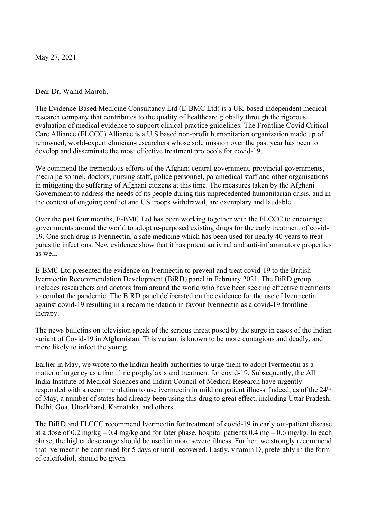May 27, 2021

Dear Dr. Wahid Majroh,

The Evidence-Based Medicine Consultancy Ltd (E-BMC Ltd) is a UK-based independent medical research company that contributes to the quality of healthcare globally through the rigorous evaluation of medical evidence to support clinical practice guidelines. The Frontline Covid Critical Care Alliance (FLCCC) Alliance is a U.S based non-profit humanitarian organization made up of renowned, world-expert clinician-researchers whose sole mission over the past year has been to develop and disseminate the most effective treatment protocols for covid-19.

We commend the tremendous efforts of the Afghani central government, provincial governments, media personnel, doctors, nursing staff, police personnel, paramedical staff and other organisations in mitigating the suffering of Afghani citizens at this time. The measures taken by the Afghani Government to address the needs of its people during this unprecedented humanitarian crisis, and in the context of ongoing conflict and US troops withdrawal, are exemplary and laudable.

Over the past four months, E-BMC Ltd has been working together with the FLCCC to encourage governments around the world to adopt re-purposed existing drugs for the early treatment of covid-19. One such drug is Ivermectin, a safe medicine which has been used for nearly 40 years to treat parasitic infections. New evidence show that it has potent antiviral and anti-inflammatory properties as well.

E-BMC Ltd presented the evidence on Ivermectin to prevent and treat covid-19 to the British Ivermectin Recommendation Development (BiRD) panel in February 2021. The BiRD group includes researchers and doctors from around the world who have been seeking effective treatments to combat the pandemic. The BiRD panel deliberated on the evidence for the use of Ivermectin against covid-19 resulting in a recommendation in favour Ivermectin as a covid-19 frontline therapy.

The news bulletins on television speak of the serious threat posed by the surge in cases of the Indian variant of Covid-19 in Afghanistan. This variant is known to be more contagious and deadly, and more likely to infect the young.

Earlier in May, we wrote to the Indian health authorities to urge them to adopt Ivermectin as a matter of urgency as a front line prophylaxis and treatment for covid-19. Subsequently, the All India Institute of Medical Sciences and Indian Council of Medical Research have urgently responded with a recommendation to use ivermectin in mild outpatient illness. Indeed, as of the 24<sup>th</sup> of May, a number of states had already been using this drug to great effect, including Uttar Pradesh, Delhi, Goa, Uttarkhand, Karnataka, and others.

The BiRD and FLCCC recommend Ivermectin for treatment of covid-19 in early out-patient disease at a dose of 0.2 mg/kg – 0.4 mg/kg and for later phase, hospital patients  $0.4 \text{ mg} - 0.6 \text{ mg/kg}$ . In each phase, the higher dose range should be used in more severe illness. Further, we strongly recommend that ivermectin be continued for 5 days or until recovered. Lastly, vitamin D, preferably in the form of calcifediol, should be given.